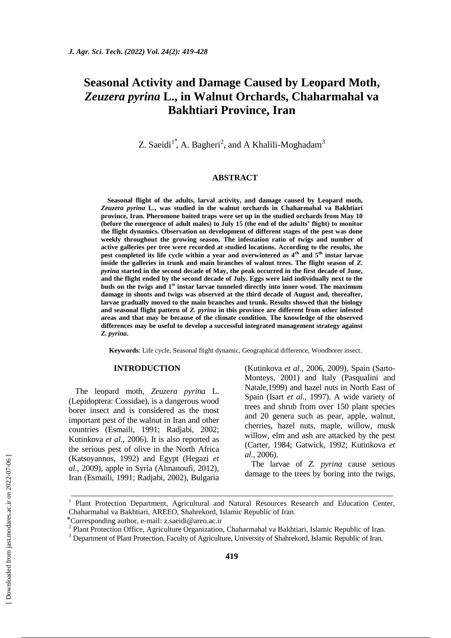# **Seasonal Activity and Damage Caused by Leopard Moth,**  *Zeuzera pyrina* **L., in Walnut Orchards, Chaharmahal va Bakhtiari Province, Iran**

Z. Saeidi<sup>1</sup><sup>\*</sup>, A. Bagheri<sup>2</sup>, and A Khalili-Moghadam<sup>3</sup>

# **ABSTRACT**

**Seasonal flight of the adults, larval activity, and damage caused by Leopard moth,**  *Zeuzera pyrina* **L., was studied in the walnut orchards in Chaharmahal va Bakhtiari province, Iran. Pheromone baited traps were set up in the studied orchards from May 10 (before the emergence of adult males) to July 15 (the end of the adults' flight) to monitor the flight dynamics. Observation on development of different stages of the pest was done weekly throughout the growing season. The infestation ratio of twigs and number of active galleries per tree were recorded at studied locations. According to the results, the pest completed its life cycle within a year and overwintered as 4th and 5th instar larvae**  inside the galleries in trunk and main branches of walnut trees. The flight season of *Z*. *pyrina* **started in the second decade of May, the peak occurred in the first decade of June, and the flight ended by the second decade of July. Eggs were laid individually next to the buds on the twigs and 1st instar larvae tunneled directly into inner wood. The maximum damage in shoots and twigs was observed at the third decade of August and, thereafter, larvae gradually moved to the main branches and trunk. Results showed that the biology and seasonal flight pattern of** *Z. pyrina* **in this province are different from other infested areas and that may be because of the climate condition. The knowledge of the observed differences may be useful to develop a successful integrated management strategy against**  *Z. pyrina***.**

**Keywords**: Life cycle, Seasonal flight dynamic, Geographical difference, Woodborer insect.

# **INTRODUCTION**

The leopard moth*, Zeuzera pyrina* L. (Lepidoptera: Cossidae), is a dangerous wood borer insect and is considered as the most important pest of the walnut in Iran and other countries (Esmaili, 1991; Radjabi, 2002; Kutinkova *et al.,* 2006). It is also reported as the serious pest of olive in the North Africa (Katsoyannos, 1992) and Egypt (Hegazi *et al.,* 2009), apple in Syria (Almanoufi, 2012), Iran (Esmaili, 1991; Radjabi, 2002), Bulgaria (Kutinkova *et al.,* 2006, 2009), Spain (Sarto-Monteys, 2001) and Italy (Pasqualini and Natale,1999) and hazel nuts in North East of Spain (Isart *et al.,* 1997). A wide variety of trees and shrub from over 150 plant species and 20 genera such as pear, apple, walnut, cherries, hazel nuts, maple, willow, musk willow, elm and ash are attacked by the pest (Carter, 1984; Gatwick, 1992; Kutinkova *et al.,* 2006).

The larvae of *Z. pyrina* cause serious damage to the trees by boring into the twigs,

\_\_\_\_\_\_\_\_\_\_\_\_\_\_\_\_\_\_\_\_\_\_\_\_\_\_\_\_\_\_\_\_\_\_\_\_\_\_\_\_\_\_\_\_\_\_\_\_\_\_\_\_\_\_\_\_\_\_\_\_\_\_\_\_\_\_\_\_\_\_\_\_\_\_\_\_\_

<sup>1</sup> Plant Protection Department, Agricultural and Natural Resources Research and Education Center, Chaharmahal va Bakhtiari, AREEO, Shahrekord, Islamic Republic of Iran.

<sup>⃰</sup> Corresponding author, e-mail: z.saeidi@areo.ac.ir

<sup>&</sup>lt;sup>2</sup> Plant Protection Office, Agriculture Organization, Chaharmahal va Bakhtiari, Islamic Republic of Iran.

<sup>&</sup>lt;sup>3</sup> Department of Plant Protection, Faculty of Agriculture, University of Shahrekord, Islamic Republic of Iran.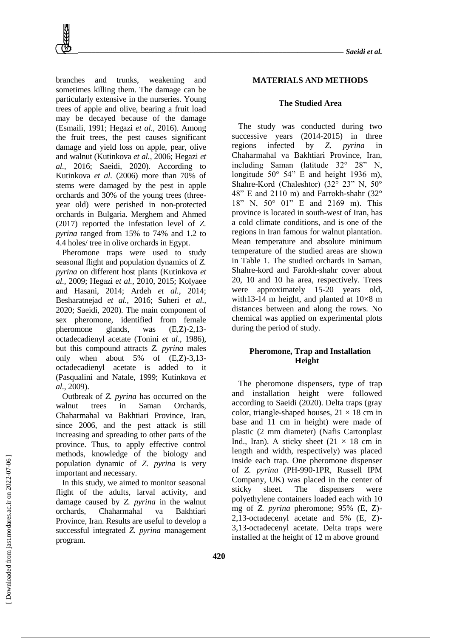branches and trunks, weakening and sometimes killing them. The damage can be particularly extensive in the nurseries. Young trees of apple and olive, bearing a fruit load may be decayed because of the damage (Esmaili, 1991; Hegazi *et al.,* 2016). Among the fruit trees, the pest causes significant damage and yield loss on apple, pear, olive and walnut (Kutinkova *et al.,* 2006; Hegazi *et al.,* 2016; Saeidi, 2020). According to Kutinkova *et al.* (2006) more than 70% of stems were damaged by the pest in apple orchards and 30% of the young trees (threeyear old) were perished in non-protected orchards in Bulgaria. Merghem and Ahmed (2017) reported the infestation level of *Z. pyrina* ranged from 15% to 74% and 1.2 to 4.4 holes/ tree in olive orchards in Egypt.

Pheromone traps were used to study seasonal flight and population dynamics of *Z. pyrina* on different host plants (Kutinkova *et al.,* 2009; Hegazi *et al.,* 2010, 2015; Kolyaee and Hasani, 2014; Ardeh *et al.,* 2014; Besharatnejad *et al.,* 2016; Suheri *et al.,* 2020; Saeidi, 2020). The main component of sex pheromone, identified from female pheromone glands, was (E,Z)-2,13 octadecadienyl acetate (Tonini *et al.,* 1986), but this compound attracts *Z. pyrina* males only when about 5% of (E,Z)-3,13 octadecadienyl acetate is added to it (Pasqualini and Natale, 1999; Kutinkova *et al.,* 2009).

Outbreak of *Z. pyrina* has occurred on the walnut trees in Saman Orchards, Chaharmahal va Bakhtiari Province, Iran, since 2006, and the pest attack is still increasing and spreading to other parts of the province. Thus, to apply effective control methods, knowledge of the biology and population dynamic of *Z. pyrina* is very important and necessary.

In this study, we aimed to monitor seasonal flight of the adults, larval activity, and damage caused by *Z. pyrina* in the walnut orchards, Chaharmahal va Bakhtiari Province, Iran. Results are useful to develop a successful integrated *Z. pyrina* management program.

# **MATERIALS AND METHODS**

#### **The Studied Area**

The study was conducted during two successive years (2014-2015) in three regions infected by *Z. pyrina* in Chaharmahal va Bakhtiari Province, Iran, including Saman (latitude 32° 28" N, longitude 50° 54" E and height 1936 m), Shahre-Kord (Chaleshtor) (32° 23" N, 50° 48" E and 2110 m) and Farrokh-shahr (32° 18" N, 50° 01" E and 2169 m). This province is located in south-west of Iran, has a cold climate conditions, and is one of the regions in Iran famous for walnut plantation. Mean temperature and absolute minimum temperature of the studied areas are shown in Table 1. The studied orchards in Saman, Shahre-kord and Farokh-shahr cover about 20, 10 and 10 ha area, respectively. Trees were approximately 15-20 years old, with13-14 m height, and planted at  $10\times8$  m distances between and along the rows. No chemical was applied on experimental plots during the period of study.

# **Pheromone, Trap and Installation Height**

The pheromone dispensers, type of trap and installation height were followed according to Saeidi (2020). Delta traps (gray color, triangle-shaped houses,  $21 \times 18$  cm in base and 11 cm in height) were made of plastic (2 mm diameter) (Nafis Cartonplast Ind., Iran). A sticky sheet  $(21 \times 18 \text{ cm in})$ length and width, respectively) was placed inside each trap. One pheromone dispenser of *Z. pyrina* (PH-990-1PR, Russell IPM Company, UK) was placed in the center of sticky sheet. The dispensers were polyethylene containers loaded each with 10 mg of *Z. pyrina* pheromone; 95% (E, Z)- 2,13-octadecenyl acetate and 5% (E, Z)- 3,13-octadecenyl acetate. Delta traps were installed at the height of 12 m above ground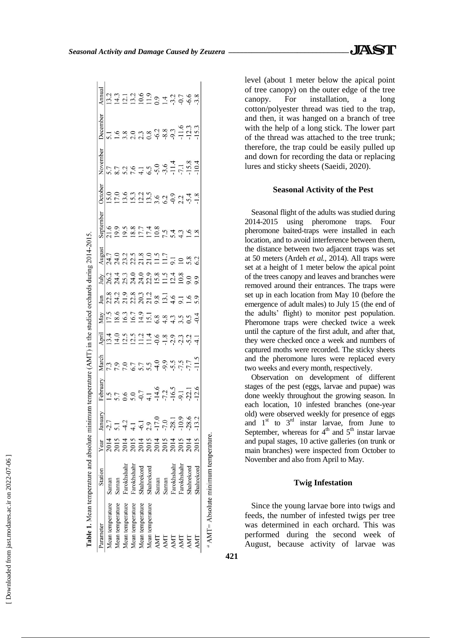| ۱           |
|-------------|
| J           |
| ١           |
| ׇ֚֘֝֕       |
| I           |
| l<br>֕      |
|             |
|             |
|             |
|             |
|             |
| l<br>i<br>١ |
|             |
|             |
|             |
| ֠           |
|             |
|             |
|             |
| I           |
|             |
| ı           |
| i<br>í      |
|             |
|             |
| í           |
|             |
| í           |
| ֕           |
|             |
|             |
|             |
|             |
|             |
| ۱           |
|             |
|             |
|             |
|             |
|             |
| ï           |
|             |

Ă

| Table 1. Mean temperature and absolute minimum temperature (AMT) in the studied orchards during 2014-2015. |             |                                                                     |                                                                               |          |       |                           |                                                                                                                                                                                                                                                                                                                |                                                                    |                            |        |                                     |         |                   |                                         |        |
|------------------------------------------------------------------------------------------------------------|-------------|---------------------------------------------------------------------|-------------------------------------------------------------------------------|----------|-------|---------------------------|----------------------------------------------------------------------------------------------------------------------------------------------------------------------------------------------------------------------------------------------------------------------------------------------------------------|--------------------------------------------------------------------|----------------------------|--------|-------------------------------------|---------|-------------------|-----------------------------------------|--------|
| Parameter                                                                                                  | Station     | Year                                                                | January                                                                       | February | March | April                     | May                                                                                                                                                                                                                                                                                                            | Jun                                                                | July                       | August | September                           | October | November          | December                                | Annual |
| Mean temperature                                                                                           | Saman       | 2014                                                                | -2.7                                                                          |          |       |                           |                                                                                                                                                                                                                                                                                                                |                                                                    |                            |        |                                     |         |                   |                                         |        |
| Mean temperature                                                                                           | Saman       | 2015                                                                | $\ddot{=}$                                                                    |          |       |                           |                                                                                                                                                                                                                                                                                                                |                                                                    |                            |        |                                     |         |                   |                                         |        |
| Mean temperature                                                                                           | Farokhshahr | 2014<br>2015                                                        |                                                                               |          |       |                           |                                                                                                                                                                                                                                                                                                                |                                                                    |                            |        |                                     |         |                   |                                         |        |
| Mean temperature                                                                                           | Farokhshahr |                                                                     |                                                                               |          |       |                           |                                                                                                                                                                                                                                                                                                                |                                                                    |                            |        |                                     |         |                   |                                         |        |
| Mean temperature                                                                                           | Shahrekord  |                                                                     |                                                                               |          |       |                           |                                                                                                                                                                                                                                                                                                                |                                                                    |                            |        |                                     |         |                   |                                         |        |
| Mean temperature                                                                                           | Shahrekord  |                                                                     |                                                                               |          |       |                           |                                                                                                                                                                                                                                                                                                                |                                                                    |                            |        |                                     |         |                   |                                         |        |
| AMT                                                                                                        | Saman       |                                                                     |                                                                               |          |       |                           |                                                                                                                                                                                                                                                                                                                |                                                                    |                            |        |                                     |         |                   |                                         |        |
| AMT                                                                                                        | Saman       | $\begin{array}{c} 2014 \\ 2013 \\ 2014 \\ 2014 \\ 2014 \end{array}$ | $4.1$<br>$4.1$<br>$4.1$<br>$7.0$<br>$7.0$<br>$7.0$<br>$7.0$<br>$7.0$<br>$7.0$ |          |       |                           |                                                                                                                                                                                                                                                                                                                | $23.3$<br>$23.2$<br>$25.3$<br>$25.3$<br>$25.3$<br>$25.4$<br>$25.7$ |                            |        |                                     |         |                   |                                         |        |
| AMT                                                                                                        | Farokhshahr |                                                                     |                                                                               |          |       |                           |                                                                                                                                                                                                                                                                                                                |                                                                    |                            |        |                                     |         |                   |                                         |        |
| AMT                                                                                                        | Farokhshahr | 2015                                                                |                                                                               |          |       | ュロコココロトココココ<br>コココココウトコココ | $\begin{array}{c}\n 12.6 \\ 12.6 \\ 13.7 \\ 14.6 \\ 15.9 \\ 16.8 \\ 17.8 \\ 19.6 \\ 19.4 \\ 19.4 \\ 19.4 \\ 19.5 \\ 19.4 \\ 19.5 \\ 19.4 \\ 19.5 \\ 19.4 \\ 19.5 \\ 19.4 \\ 19.5 \\ 19.4 \\ 19.5 \\ 19.5 \\ 19.5 \\ 19.5 \\ 19.5 \\ 19.5 \\ 19.5 \\ 19.5 \\ 19.5 \\ 19.5 \\ 19.5 \\ 19.5 \\ 19.5 \\ 19.5 \\ 1$ |                                                                    | 011099089118<br>8121110908 |        | 109587748<br>209587748<br>209587748 |         | 5.796146994177894 | $-5.98$ $-3.89$ $-5.98$ $-5.98$ $-1.25$ |        |
| AMT                                                                                                        | Shahrekord  | 2014                                                                | $-28.6$                                                                       |          |       |                           |                                                                                                                                                                                                                                                                                                                | 0.6                                                                |                            | 5.8    |                                     |         |                   |                                         |        |
|                                                                                                            | Shahrekord  | 2015                                                                | 13.2                                                                          |          |       |                           |                                                                                                                                                                                                                                                                                                                |                                                                    |                            |        |                                     |         |                   |                                         |        |
| $\alpha$ AMT= Absolute minimum temperature.                                                                |             |                                                                     |                                                                               |          |       |                           |                                                                                                                                                                                                                                                                                                                |                                                                    |                            |        |                                     |         |                   |                                         |        |

level (about 1 meter below the apical point of tree canopy) on the outer edge of the tree canopy. For installation, a long cotton/polyester thread was tied to the trap, and then, it was hanged on a branch of tree with the help of a long stick. The lower part of the thread was attached to the tree trunk; therefore, the trap could be easily pulled up and down for recording the data or replacing lures and sticky sheets (Saeidi, 2020).

### **Seasonal Activity of the Pest**

Seasonal flight of the adults was studied during 2014-2015 using pheromone traps. Four pheromone baited-traps were installed in each location, and to avoid interference between them, the distance between two adjacent traps was set at 50 meters (Ardeh *et al.,* 2014). All traps were set at a height of 1 meter below the apical point of the trees canopy and leaves and branches were removed around their entrances. The traps were set up in each location from May 10 (before the emergence of adult males) to July 15 (the end of the adults' flight) to monitor pest population. Pheromone traps were checked twice a week until the capture of the first adult, and after that, they were checked once a week and numbers of captured moths were recorded. The sticky sheets and the pheromone lures were replaced every two weeks and every month, respectively.

Observation on development of different stages of the pest (eggs, larvae and pupae) was done weekly throughout the growing season. In each location, 10 infested branches (one-year old) were observed weekly for presence of eggs and  $1<sup>st</sup>$  to  $3<sup>rd</sup>$  instar larvae, from June to September, whereas for  $4<sup>th</sup>$  and  $5<sup>th</sup>$  instar larvae and pupal stages, 10 active galleries (on trunk or main branches) were inspected from October to November and also from April to May.

# **Twig Infestation**

Since the young larvae bore into twigs and feeds, the number of infested twigs per tree was determined in each orchard. This was performed during the second week of August, because activity of larvae was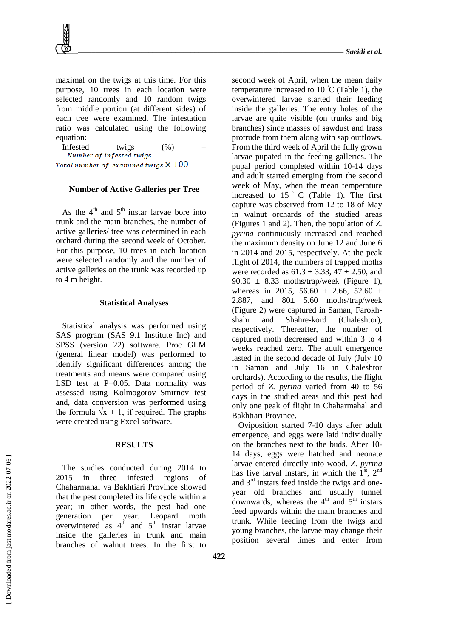maximal on the twigs at this time. For this purpose, 10 trees in each location were selected randomly and 10 random twigs from middle portion (at different sides) of each tree were examined. The infestation ratio was calculated using the following equation:

Infested twigs  $(\%)$  =  $\n Number of infected twigs$ Total number of examined twigs  $\times$  100

#### **Number of Active Galleries per Tree**

As the  $4<sup>th</sup>$  and  $5<sup>th</sup>$  instar larvae bore into trunk and the main branches, the number of active galleries/ tree was determined in each orchard during the second week of October. For this purpose, 10 trees in each location were selected randomly and the number of active galleries on the trunk was recorded up to 4 m height.

#### **Statistical Analyses**

Statistical analysis was performed using SAS program (SAS 9.1 Institute Inc) and SPSS (version 22) software. Proc GLM (general linear model) was performed to identify significant differences among the treatments and means were compared using LSD test at  $P=0.05$ . Data normality was assessed using Kolmogorov–Smirnov test and, data conversion was performed using the formula  $\sqrt{x} + 1$ , if required. The graphs were created using Excel software.

#### **RESULTS**

The studies conducted during 2014 to 2015 in three infested regions of Chaharmahal va Bakhtiari Province showed that the pest completed its life cycle within a year; in other words, the pest had one generation per year. Leopard moth overwintered as  $4^{th}$  and  $5^{th}$  instar larvae inside the galleries in trunk and main branches of walnut trees. In the first to

second week of April, when the mean daily temperature increased to 10  $\degree$ C (Table 1), the overwintered larvae started their feeding inside the galleries. The entry holes of the larvae are quite visible (on trunks and big branches) since masses of sawdust and frass protrude from them along with sap outflows. From the third week of April the fully grown larvae pupated in the feeding galleries. The pupal period completed within 10-14 days and adult started emerging from the second week of May, when the mean temperature increased to  $15 \degree$  C (Table 1). The first capture was observed from 12 to 18 of May in walnut orchards of the studied areas (Figures 1 and 2). Then, the population of *Z. pyrina* continuously increased and reached the maximum density on June 12 and June 6 in 2014 and 2015, respectively. At the peak flight of 2014, the numbers of trapped moths were recorded as  $61.3 \pm 3.33$ ,  $47 \pm 2.50$ , and 90.30  $\pm$  8.33 moths/trap/week (Figure 1), whereas in 2015, 56.60  $\pm$  2.66, 52.60  $\pm$ 2.887, and 80± 5.60 moths/trap/week (Figure 2) were captured in Saman, Farokhshahr and Shahre-kord (Chaleshtor), respectively. Thereafter, the number of captured moth decreased and within 3 to 4 weeks reached zero. The adult emergence lasted in the second decade of July (July 10 in Saman and July 16 in Chaleshtor orchards). According to the results, the flight period of *Z. pyrina* varied from 40 to 56 days in the studied areas and this pest had only one peak of flight in Chaharmahal and Bakhtiari Province.

Oviposition started 7-10 days after adult emergence, and eggs were laid individually on the branches next to the buds. After 10- 14 days, eggs were hatched and neonate larvae entered directly into wood. *Z. pyrina* has five larval instars, in which the  $1<sup>st</sup>$ ,  $2<sup>nd</sup>$ and  $3<sup>rd</sup>$  instars feed inside the twigs and oneyear old branches and usually tunnel downwards, whereas the  $4<sup>th</sup>$  and  $5<sup>th</sup>$  instars feed upwards within the main branches and trunk. While feeding from the twigs and young branches, the larvae may change their position several times and enter from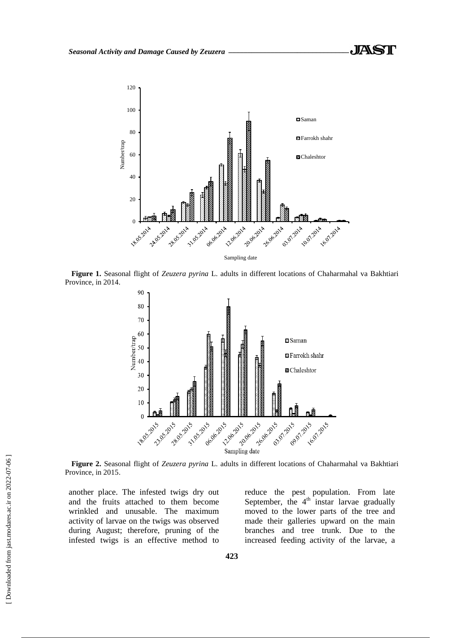

**Figure 1.** Seasonal flight of *Zeuzera pyrina* L. adults in different locations of Chaharmahal va Bakhtiari Province, in 2014.



**Figure 2.** Seasonal flight of *Zeuzera pyrina* L. adults in different locations of Chaharmahal va Bakhtiari Province, in 2015.

another place. The infested twigs dry out and the fruits attached to them become wrinkled and unusable. The maximum activity of larvae on the twigs was observed during August; therefore, pruning of the infested twigs is an effective method to

reduce the pest population. From late September, the  $4<sup>th</sup>$  instar larvae gradually moved to the lower parts of the tree and made their galleries upward on the main branches and tree trunk. Due to the increased feeding activity of the larvae, a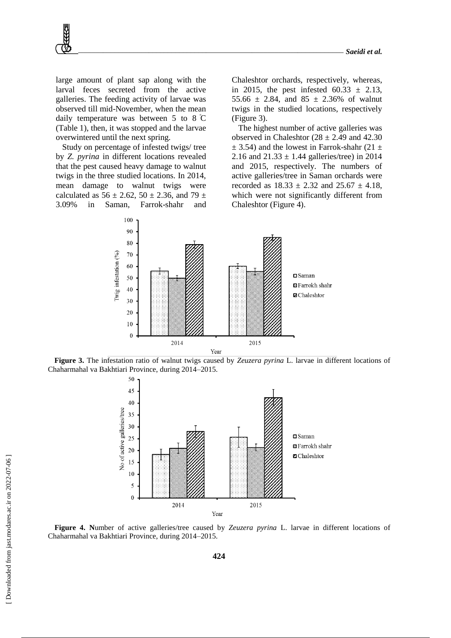large amount of plant sap along with the larval feces secreted from the active galleries. The feeding activity of larvae was observed till mid-November, when the mean daily temperature was between 5 to 8 C (Table 1), then, it was stopped and the larvae overwintered until the next spring.

Study on percentage of infested twigs/ tree by *Z. pyrina* in different locations revealed that the pest caused heavy damage to walnut twigs in the three studied locations. In 2014, mean damage to walnut twigs were calculated as  $56 \pm 2.62$ ,  $50 \pm 2.36$ , and  $79 \pm 2.52$ 3.09% in Saman, Farrok-shahr and Chaleshtor orchards, respectively, whereas, in 2015, the pest infested  $60.33 \pm 2.13$ , 55.66  $\pm$  2.84, and 85  $\pm$  2.36% of walnut twigs in the studied locations, respectively (Figure 3).

The highest number of active galleries was observed in Chaleshtor  $(28 \pm 2.49)$  and 42.30  $\pm$  3.54) and the lowest in Farrok-shahr (21  $\pm$ 2.16 and  $21.33 \pm 1.44$  galleries/tree) in 2014 and 2015, respectively. The numbers of active galleries/tree in Saman orchards were recorded as  $18.33 \pm 2.32$  and  $25.67 \pm 4.18$ , which were not significantly different from Chaleshtor (Figure 4).



**Figure 3.** The infestation ratio of walnut twigs caused by *Zeuzera pyrina* L. larvae in different locations of Chaharmahal va Bakhtiari Province, during 2014–2015.



**Figure 4. N**umber of active galleries/tree caused by *Zeuzera pyrina* L. larvae in different locations of Chaharmahal va Bakhtiari Province, during 2014–2015.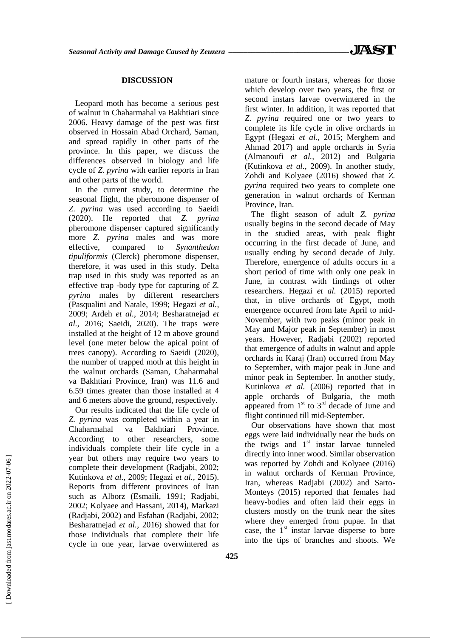#### **DISCUSSION**

Leopard moth has become a serious pest of walnut in Chaharmahal va Bakhtiari since 2006. Heavy damage of the pest was first observed in Hossain Abad Orchard, Saman, and spread rapidly in other parts of the province. In this paper, we discuss the differences observed in biology and life cycle of *Z. pyrina* with earlier reports in Iran and other parts of the world.

In the current study, to determine the seasonal flight, the pheromone dispenser of *Z. pyrina* was used according to Saeidi (2020). He reported that *Z. pyrina* pheromone dispenser captured significantly more *Z. pyrina* males and was more effective, compared to *Synanthedon tipuliformis* (Clerck) pheromone dispenser, therefore, it was used in this study. Delta trap used in this study was reported as an effective trap -body type for capturing of *Z. pyrina* males by different researchers (Pasqualini and Natale, 1999; Hegazi *et al.,* 2009; Ardeh *et al.,* 2014; Besharatnejad *et al.,* 2016; Saeidi, 2020). The traps were installed at the height of 12 m above ground level (one meter below the apical point of trees canopy). According to Saeidi (2020), the number of trapped moth at this height in the walnut orchards (Saman, Chaharmahal va Bakhtiari Province, Iran) was 11.6 and 6.59 times greater than those installed at 4 and 6 meters above the ground, respectively.

Our results indicated that the life cycle of *Z. pyrina* was completed within a year in Chaharmahal va Bakhtiari Province. According to other researchers, some individuals complete their life cycle in a year but others may require two years to complete their development (Radjabi, 2002; Kutinkova *et al.,* 2009; Hegazi *et al.,* 2015). Reports from different provinces of Iran such as Alborz (Esmaili, 1991; Radjabi, 2002; Kolyaee and Hassani, 2014), Markazi (Radjabi, 2002) and Esfahan (Radjabi, 2002; Besharatnejad *et al.,* 2016) showed that for those individuals that complete their life cycle in one year, larvae overwintered as

mature or fourth instars, whereas for those which develop over two years, the first or second instars larvae overwintered in the first winter. In addition, it was reported that *Z. pyrina* required one or two years to complete its life cycle in olive orchards in Egypt (Hegazi *et al.,* 2015; Merghem and Ahmad 2017) and apple orchards in Syria (Almanoufi *et al.,* 2012) and Bulgaria (Kutinkova *et al.,* 2009). In another study, Zohdi and Kolyaee (2016) showed that *Z. pyrina* required two years to complete one generation in walnut orchards of Kerman Province, Iran.

The flight season of adult *Z. pyrina* usually begins in the second decade of May in the studied areas, with peak flight occurring in the first decade of June, and usually ending by second decade of July. Therefore, emergence of adults occurs in a short period of time with only one peak in June, in contrast with findings of other researchers. Hegazi *et al.* (2015) reported that, in olive orchards of Egypt, moth emergence occurred from late April to mid-November, with two peaks (minor peak in May and Major peak in September) in most years. However, Radjabi (2002) reported that emergence of adults in walnut and apple orchards in Karaj (Iran) occurred from May to September, with major peak in June and minor peak in September. In another study, Kutinkova *et al.* (2006) reported that in apple orchards of Bulgaria, the moth appeared from  $1<sup>st</sup>$  to  $3<sup>rd</sup>$  decade of June and flight continued till mid-September.

Our observations have shown that most eggs were laid individually near the buds on the twigs and  $1<sup>st</sup>$  instar larvae tunneled directly into inner wood. Similar observation was reported by Zohdi and Kolyaee (2016) in walnut orchards of Kerman Province, Iran, whereas Radjabi (2002) and Sarto-Monteys (2015) reported that females had heavy-bodies and often laid their eggs in clusters mostly on the trunk near the sites where they emerged from pupae. In that case, the  $1<sup>st</sup>$  instar larvae disperse to bore into the tips of branches and shoots. We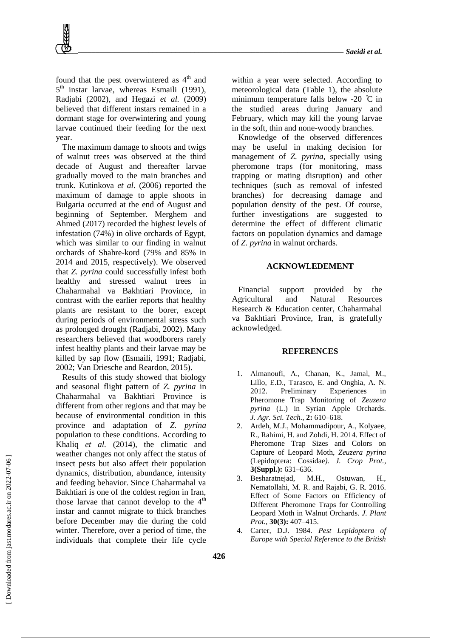found that the pest overwintered as  $4<sup>th</sup>$  and 5<sup>th</sup> instar larvae, whereas Esmaili (1991), Radjabi (2002), and Hegazi *et al.* (2009) believed that different instars remained in a dormant stage for overwintering and young larvae continued their feeding for the next year.

The maximum damage to shoots and twigs of walnut trees was observed at the third decade of August and thereafter larvae gradually moved to the main branches and trunk. Kutinkova *et al.* (2006) reported the maximum of damage to apple shoots in Bulgaria occurred at the end of August and beginning of September. Merghem and Ahmed (2017) recorded the highest levels of infestation (74%) in olive orchards of Egypt, which was similar to our finding in walnut orchards of Shahre-kord (79% and 85% in 2014 and 2015, respectively). We observed that *Z. pyrina* could successfully infest both healthy and stressed walnut trees in Chaharmahal va Bakhtiari Province, in contrast with the earlier reports that healthy plants are resistant to the borer, except during periods of environmental stress such as prolonged drought (Radjabi, 2002). Many researchers believed that woodborers rarely infest healthy plants and their larvae may be killed by sap flow (Esmaili, 1991; Radjabi, 2002; Van Driesche and Reardon, 2015).

Results of this study showed that biology and seasonal flight pattern of *Z. pyrina* in Chaharmahal va Bakhtiari Province is different from other regions and that may be because of environmental condition in this province and adaptation of *Z. pyrina* population to these conditions. According to Khaliq *et al.* (2014), the climatic and weather changes not only affect the status of insect pests but also affect their population dynamics, distribution, abundance, intensity and feeding behavior. Since Chaharmahal va Bakhtiari is one of the coldest region in Iran, those larvae that cannot develop to the  $4<sup>th</sup>$ instar and cannot migrate to thick branches before December may die during the cold winter. Therefore, over a period of time, the individuals that complete their life cycle

within a year were selected. According to meteorological data (Table 1), the absolute minimum temperature falls below -20  $\degree$ C in the studied areas during January and February, which may kill the young larvae in the soft, thin and none-woody branches.

Knowledge of the observed differences may be useful in making decision for management of *Z. pyrina*, specially using pheromone traps (for monitoring, mass trapping or mating disruption) and other techniques (such as removal of infested branches) for decreasing damage and population density of the pest. Of course, further investigations are suggested to determine the effect of different climatic factors on population dynamics and damage of *Z. pyrina* in walnut orchards.

#### **ACKNOWLEDEMENT**

Financial support provided by the Agricultural and Natural Resources Research & Education center, Chaharmahal va Bakhtiari Province, Iran, is gratefully acknowledged.

#### **REFERENCES**

- 1. Almanoufi, A., Chanan, K., Jamal, M., Lillo, E.D., Tarasco, E. and Onghia, A. N. 2012. Preliminary Experiences in Pheromone Trap Monitoring of *Zeuzera pyrina* (L.) in Syrian Apple Orchards. *J. Agr. Sci. Tech.,* **2:** 610–618.
- 2. Ardeh, M.J., Mohammadipour, A., Kolyaee, R., Rahimi, H. and Zohdi, H. 2014. Effect of Pheromone Trap Sizes and Colors on Capture of Leopard Moth, *Zeuzera pyrina*  (Lepidoptera: Cossidae*). [J. Crop Prot.,](http://www.pherobase.com/database/journal/J.%20Crop%20Prot.-journal.php)*  **3(Suppl.):** 631–636.
- 3. Besharatnejad, M.H., Ostuwan, H., Nematollahi, M. R. and Rajabi, G. R. 2016. Effect of Some Factors on Efficiency of Different Pheromone Traps for Controlling Leopard Moth in Walnut Orchards. *J. Plant Prot.,* **30(3):** 407–415.
- 4. Carter, D.J. 1984. *Pest Lepidoptera of Europe with Special Reference to the British*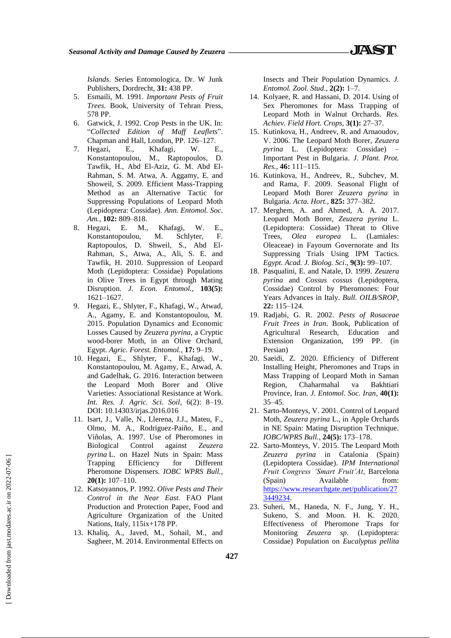*Islands*. Series Entomologica, Dr. W Junk Publishers, Dordrecht, **31:** 438 PP.

- 5. Esmaili, M. 1991. *Important Pests of Fruit Trees*. Book, University of Tehran Press, 578 PP.
- 6. Gatwick, J. 1992. Crop Pests in the UK. In: "*Collected Edition of Maff Leaflets*". Chapman and Hall, London, PP. 126–127.
- 7. [Hegazi,](javascript:;) [E., Khafagi,](javascript:;) W. E[.,](javascript:;) [Konstantopoulou,](javascript:;) M., [Raptopoulos,](javascript:;) D[.](javascript:;) [Tawfik,](javascript:;) H., [Abd El-Aziz,](javascript:;) G. M. [Abd El-](javascript:;)[Rahman,](javascript:;) S. M. [Atwa,](javascript:;) A. [Aggamy,](javascript:;) E. [and](javascript:;)  [Showeil,](javascript:;) S. 2009. Efficient Mass-Trapping Method as an Alternative Tactic for Suppressing Populations of Leopard Moth (Lepidoptera: Cossidae). *Ann. Entomol. Soc. Am.*, **102:** 809–818.
- 8. Hegazi, E. M., Khafagi, W. E., Konstantopoulou, M. Schlyter, F. Raptopoulos, D. Shweil, S., Abd El-Rahman, S., Atwa, A., Ali, S. E. and Tawfik, H. 2010. Suppression of Leopard Moth (Lepidoptera: Cossidae) Populations in Olive Trees in Egypt through Mating Disruption. *J. Econ. Entomol.,* **103(5):** 1621–1627.
- 9. Hegazi, E., Shlyter, F., Khafagi, W., Atwad, A., Agamy, E. and Konstantopoulou, M. 2015. Population Dynamics and Economic Losses Caused by *Zeuzera pyrina*, a Cryptic wood-borer Moth, in an Olive Orchard, Egypt. *[Agric. Forest. Entomol.,](http://www.pherobase.com/database/journal/Agric.%20Forest%20Entomol.-journal.php)* **17:** 9–19.
- 10. Hegazi, E., Shlyter, F., Khafagi, W., Konstantopoulou, M. Agamy, E., Atwad, A. and Gadelhak, G. 2016. Interaction between the Leopard Moth Borer and Olive Varieties: Associational Resistance at Work. *Int. Res. J. Agric. Sci. Soil,* 6(2): 8–19. DOI: [10.14303/irjas.2016.016](https://doi.org/10.14303/irjas.2016.016)
- 11. Isart, J., Valle, N., Llerena, J.J., Mateu, F., Olmo, M. A., Rodriguez-Paiño, E., and Viñolas, A. 1997. Use of Pheromones in Biological Control against *Zeuzera pyrina* L. on Hazel Nuts in Spain: Mass Trapping Efficiency for Different Pheromone Dispensers. *IOBC WPRS Bull.,*  **20(1):** 107–110.
- 12. Katsoyannos, P. 1992. *Olive Pests and Their Control in the Near East*. [FAO Plant](https://www.cabi.org/isc/search/index?q=do:%22FAO%20Plant%20Production%20and%20Protection%20Paper%22)  [Production and Protection Paper,](https://www.cabi.org/isc/search/index?q=do:%22FAO%20Plant%20Production%20and%20Protection%20Paper%22) Food and Agriculture Organization of the United Nations, Italy, 115ix+178 PP.
- 13. Khaliq, A., Javed, M., Sohail, M., and Sagheer, M. 2014. Environmental Effects on

Insects and Their Population Dynamics. *J. Entomol. Zool. Stud.*, **2(2):** 1–7.

- 14. Kolyaee, R. and Hassani, D. 2014. Using of Sex Pheromones for Mass Trapping of Leopard Moth in Walnut Orchards. *Res. Achiev. Field Hort. Crops,* **3(1):** 27–37.
- 15. Kutinkova, H., Andreev, R. and Arnaoudov, V. 2006. The Leopard Moth Borer, *Zeuzera pyrina* L. (Lepidoptera: Cossidae) – Important Pest in Bulgaria. *J. Plant. Prot. Res.*, **46:** 111–115.
- 16. Kutinkova, H., Andreev, R., Subchev, M. and Rama, F. 2009. Seasonal Flight of Leopard Moth Borer *Zeuzera pyrina* in Bulgaria. *Acta. Hort.*, **825:** 377–382.
- 17. Merghem, A. and Ahmed, A. A. 2017. Leopard Moth Borer, *Zeuzera pyrina* L. (Lepidoptera: Cossidae) Threat to Olive Trees, *Olea europea* L. (Lamiales: Oleaceae) in Fayoum Governorate and Its Suppressing Trials Using IPM Tactics. *[Egypt. Acad. J. Biolog. Sci](http://www.pherobase.com/database/journal/Egypt.%20Acad.%20J.%20Biolog.%20Sci.-journal.php)*., **9(3):** 99–107.
- 18. Pasqualini, E. and Natale, D. 1999. *Zeuzera pyrina* and *Cossus cossus* (Lepidoptera, Cossidae) Control by Pheromones: Four Years Advances in Italy. *Bull. OILB/SROP,*  **22:** 115–124.
- 19. Radjabi, G. R. 2002. *Pests of Rosaceae Fruit Trees in Iran*. Book, Publication of Agricultural Research, Education and Extension Organization, 199 PP. (in Persian)
- 20. Saeidi, Z. 2020. Efficiency of Different Installing Height, Pheromones and Traps in Mass Trapping of Leopard Moth in Saman Region, Chaharmahal va Bakhtiari Province, Iran. *J. Entomol. Soc. Iran*, **40(1):** 35–45.
- 21. Sarto-Monteys, V. 2001. Control of Leopard Moth, *Zeuzera pyrina* L., in Apple Orchards in NE Spain: Mating Disruption Technique. *IOBC/WPRS Bull.*, **24(5):** 173–178.
- 22. Sarto-Monteys, V. 2015. The Leopard Moth *Zeuzera pyrina* in Catalonia (Spain) (Lepidoptera Cossidae). *IPM International Fruit Congress 'Smart Fruit'At*, Barcelona (Spain) Available from: [https://www.researchgate.net/publication/27](https://www.researchgate.net/publication/273449234) [3449234.](https://www.researchgate.net/publication/273449234)
- 23. Suheri, M., Haneda, N. F., Jung, Y. H., Sukeno, S. and Moon. H. K. 2020. Effectiveness of Pheromone Traps for Monitoring *Zeuzera sp*. (Lepidoptera: Cossidae) Population on *Eucalyptus pellita*